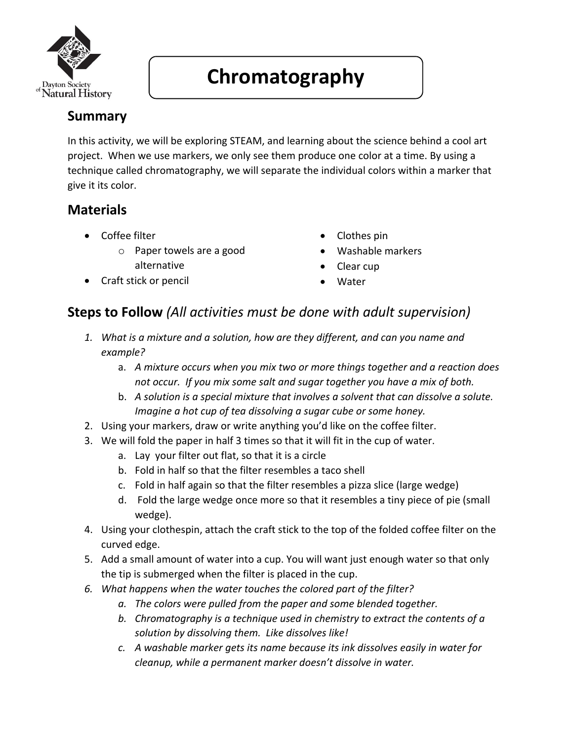

## **Chromatography**

## **Summary**

In this activity, we will be exploring STEAM, and learning about the science behind a cool art project. When we use markers, we only see them produce one color at a time. By using a technique called chromatography, we will separate the individual colors within a marker that give it its color.

## **Materials**

- Coffee filter
	- o Paper towels are a good alternative
- Craft stick or pencil
- Clothes pin
- Washable markers
- Clear cup
- **Water**

## **Steps to Follow** *(All activities must be done with adult supervision)*

- *1. What is a mixture and a solution, how are they different, and can you name and example?*
	- a. *A mixture occurs when you mix two or more things together and a reaction does not occur. If you mix some salt and sugar together you have a mix of both.*
	- b. *A solution is a special mixture that involves a solvent that can dissolve a solute. Imagine a hot cup of tea dissolving a sugar cube or some honey.*
- 2. Using your markers, draw or write anything you'd like on the coffee filter.
- 3. We will fold the paper in half 3 times so that it will fit in the cup of water.
	- a. Lay your filter out flat, so that it is a circle
	- b. Fold in half so that the filter resembles a taco shell
	- c. Fold in half again so that the filter resembles a pizza slice (large wedge)
	- d. Fold the large wedge once more so that it resembles a tiny piece of pie (small wedge).
- 4. Using your clothespin, attach the craft stick to the top of the folded coffee filter on the curved edge.
- 5. Add a small amount of water into a cup. You will want just enough water so that only the tip is submerged when the filter is placed in the cup.
- *6. What happens when the water touches the colored part of the filter?*
	- *a. The colors were pulled from the paper and some blended together.*
	- *b. Chromatography is a technique used in chemistry to extract the contents of a solution by dissolving them. Like dissolves like!*
	- *c. A washable marker gets its name because its ink dissolves easily in water for cleanup, while a permanent marker doesn't dissolve in water.*